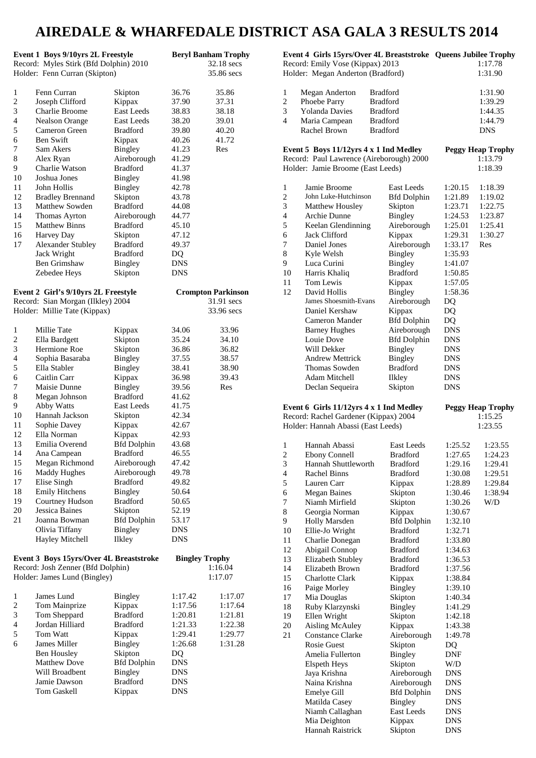# **AIREDALE & WHARFEDALE DISTRICT ASA GALA 3 RESULTS 2014**

|                          | Event 1 Boys 9/10yrs 2L Freestyle       |                                      | <b>Beryl Banham Trophy</b> |            |
|--------------------------|-----------------------------------------|--------------------------------------|----------------------------|------------|
|                          | Record: Myles Stirk (Bfd Dolphin) 2010  |                                      |                            | 32.18 secs |
|                          | Holder: Fenn Curran (Skipton)           |                                      |                            | 35.86 secs |
| 1                        | Fenn Curran                             | Skipton                              | 36.76                      | 35.86      |
| $\overline{c}$           | Joseph Clifford                         | Kippax                               | 37.90                      | 37.31      |
| 3                        | Charlie Broome                          | <b>East Leeds</b>                    | 38.83                      | 38.18      |
| 4                        | Nealson Orange                          | East Leeds                           | 38.20                      | 39.01      |
| 5                        | Cameron Green                           | <b>Bradford</b>                      | 39.80                      | 40.20      |
| 6                        | <b>Ben Swift</b>                        | Kippax                               | 40.26                      | 41.72      |
| 7                        | Sam Akers                               | <b>Bingley</b>                       | 41.23                      | Res        |
| 8                        | Alex Ryan                               | Aireborough                          | 41.29                      |            |
| 9                        | Charlie Watson                          | <b>Bradford</b>                      | 41.37                      |            |
| 10                       | Joshua Jones                            | Bingley                              | 41.98                      |            |
| 11                       | John Hollis                             | Bingley                              | 42.78                      |            |
| 12                       | <b>Bradley Brennand</b>                 | Skipton                              | 43.78                      |            |
| 13                       | Matthew Sowden                          | <b>Bradford</b>                      | 44.08                      |            |
| 14                       | Thomas Ayrton                           | Aireborough                          | 44.77                      |            |
| 15                       | <b>Matthew Binns</b>                    | <b>Bradford</b>                      | 45.10                      |            |
| 16                       | Harvey Day                              | Skipton                              | 47.12                      |            |
| 17                       | <b>Alexander Stubley</b>                | <b>Bradford</b>                      | 49.37                      |            |
|                          | Jack Wright                             | <b>Bradford</b>                      | DQ                         |            |
|                          | Ben Grimshaw                            | <b>Bingley</b>                       | DNS                        |            |
|                          | Zebedee Heys                            | Skipton                              | <b>DNS</b>                 |            |
|                          |                                         |                                      |                            |            |
|                          | Event 2 Girl's 9/10yrs 2L Freestyle     |                                      | <b>Crompton Parkinson</b>  | 31.91 secs |
|                          | Record: Sian Morgan (Ilkley) 2004       |                                      |                            | 33.96 secs |
|                          | Holder: Millie Tate (Kippax)            |                                      |                            |            |
| 1                        | Millie Tate                             | Kippax                               | 34.06                      | 33.96      |
| 2                        | Ella Bardgett                           | Skipton                              | 35.24                      | 34.10      |
| 3                        | Hermione Roe                            | Skipton                              | 36.86                      | 36.82      |
| 4                        | Sophia Basaraba                         | Bingley                              | 37.55                      | 38.57      |
| 5                        | Ella Stabler                            | <b>Bingley</b>                       | 38.41                      | 38.90      |
| 6                        | Caitlin Carr                            | Kippax                               | 36.98                      | 39.43      |
| 7                        | Maisie Dunne                            | Bingley                              | 39.56                      | Res        |
| 8                        | Megan Johnson                           | <b>Bradford</b>                      | 41.62                      |            |
| 9                        | Abby Watts                              | East Leeds                           | 41.75                      |            |
| 10                       | Hannah Jackson                          | Skipton                              | 42.34                      |            |
| 11                       | Sophie Davey                            | Kippax                               | 42.67                      |            |
| 12                       | Ella Norman                             | Kippax                               | 42.93                      |            |
| 13                       | Emilia Overend                          | <b>Bfd Dolphin</b>                   | 43.68                      |            |
| 14                       | Ana Campean                             | Bradford                             | 46.55                      |            |
| 15                       | Megan Richmond                          | Aireborough                          | 47.42                      |            |
| 16                       | Maddy Hughes                            | Aireborough                          | 49.78                      |            |
| 17                       | Elise Singh                             | <b>Bradford</b>                      | 49.82                      |            |
| 18                       | <b>Emily Hitchens</b>                   | Bingley                              | 50.64                      |            |
| 19                       | Courtney Hudson                         | <b>Bradford</b>                      | 50.65                      |            |
| 20<br>21                 | Jessica Baines<br>Joanna Bowman         | Skipton                              | 52.19                      |            |
|                          | Olivia Tiffany                          | <b>Bfd Dolphin</b><br><b>Bingley</b> | 53.17<br><b>DNS</b>        |            |
|                          | Hayley Mitchell                         | <b>Ilkley</b>                        | <b>DNS</b>                 |            |
|                          |                                         |                                      |                            |            |
|                          | Event 3 Boys 15yrs/Over 4L Breaststroke |                                      | <b>Bingley Trophy</b>      |            |
|                          | Record: Josh Zenner (Bfd Dolphin)       |                                      |                            | 1:16.04    |
|                          | Holder: James Lund (Bingley)            |                                      |                            | 1:17.07    |
|                          |                                         |                                      |                            |            |
| 1                        | James Lund                              | Bingley                              | 1:17.42                    | 1:17.07    |
| $\overline{c}$           | Tom Mainprize                           | Kippax                               | 1:17.56                    | 1:17.64    |
| 3                        | Tom Sheppard                            | <b>Bradford</b>                      | 1:20.81                    | 1:21.81    |
| $\overline{\mathcal{L}}$ | Jordan Hilliard                         | <b>Bradford</b>                      | 1:21.33                    | 1:22.38    |
| 5                        | Tom Watt                                | Kippax                               | 1:29.41                    | 1:29.77    |
| 6                        | James Miller                            | Bingley                              | 1:26.68                    | 1:31.28    |
|                          | <b>Ben Housley</b>                      | Skipton                              | DQ                         |            |
|                          | <b>Matthew Dove</b>                     | <b>Bfd Dolphin</b>                   | <b>DNS</b>                 |            |
|                          | Will Broadbent                          | <b>Bingley</b>                       | <b>DNS</b>                 |            |
|                          | Jamie Dawson                            | <b>Bradford</b>                      | <b>DNS</b>                 |            |
|                          | <b>Tom Gaskell</b>                      | Kippax                               | <b>DNS</b>                 |            |

|                                         | Event 4 Girls 15yrs/Over 4L Breaststroke Queens Jubilee Trophy<br>Record: Emily Vose (Kippax) 2013                      |                                    |                          | 1:17.78                                        |
|-----------------------------------------|-------------------------------------------------------------------------------------------------------------------------|------------------------------------|--------------------------|------------------------------------------------|
|                                         | Holder: Megan Anderton (Bradford)                                                                                       |                                    |                          | 1:31.90                                        |
| 1                                       | Megan Anderton                                                                                                          | <b>Bradford</b>                    |                          | 1:31.90                                        |
| $\overline{c}$<br>3                     | Phoebe Parry<br><b>Yolanda Davies</b>                                                                                   | <b>Bradford</b><br><b>Bradford</b> |                          | 1:39.29<br>1:44.35                             |
| 4                                       | Maria Campean                                                                                                           | <b>Bradford</b>                    |                          | 1:44.79                                        |
|                                         | Rachel Brown                                                                                                            | <b>Bradford</b>                    |                          | DNS                                            |
|                                         |                                                                                                                         |                                    |                          |                                                |
|                                         | Event 5 Boys 11/12yrs 4 x 1 Ind Medley<br>Record: Paul Lawrence (Aireborough) 2000<br>Holder: Jamie Broome (East Leeds) |                                    |                          | <b>Peggy Heap Trophy</b><br>1:13.79<br>1:18.39 |
|                                         |                                                                                                                         |                                    |                          |                                                |
| 1                                       | Jamie Broome                                                                                                            | East Leeds                         | 1:20.15                  | 1:18.39                                        |
| $\overline{c}$<br>3                     | John Luke-Hutchinson                                                                                                    | <b>Bfd Dolphin</b>                 | 1:21.89                  | 1:19.02                                        |
| 4                                       | Matthew Housley<br>Archie Dunne                                                                                         | Skipton<br>Bingley                 | 1:23.71<br>1:24.53       | 1:22.75<br>1:23.87                             |
| 5                                       | Keelan Glendinning                                                                                                      | Aireborough                        | 1:25.01                  | 1:25.41                                        |
| 6                                       | Jack Clifford                                                                                                           | Kippax                             | 1:29.31                  | 1:30.27                                        |
| 7                                       | Daniel Jones                                                                                                            | Aireborough                        | 1:33.17                  | Res                                            |
| 8                                       | Kyle Welsh                                                                                                              | Bingley                            | 1:35.93                  |                                                |
| 9                                       | Luca Curini                                                                                                             | Bingley                            | 1:41.07                  |                                                |
| 10                                      | Harris Khaliq<br>Tom Lewis                                                                                              | <b>Bradford</b>                    | 1:50.85                  |                                                |
| 11<br>12                                | David Hollis                                                                                                            | Kippax<br>Bingley                  | 1:57.05<br>1:58.36       |                                                |
|                                         | James Shoesmith-Evans                                                                                                   | Aireborough                        | DQ                       |                                                |
|                                         | Daniel Kershaw                                                                                                          | Kippax                             | DQ                       |                                                |
|                                         | Cameron Mander                                                                                                          | <b>Bfd Dolphin</b>                 | DQ                       |                                                |
|                                         | <b>Barney Hughes</b>                                                                                                    | Aireborough                        | <b>DNS</b>               |                                                |
|                                         | Louie Dove                                                                                                              | <b>Bfd Dolphin</b>                 | <b>DNS</b>               |                                                |
|                                         | Will Dekker<br><b>Andrew Mettrick</b>                                                                                   | Bingley<br>Bingley                 | <b>DNS</b><br><b>DNS</b> |                                                |
|                                         | Thomas Sowden                                                                                                           | <b>Bradford</b>                    | <b>DNS</b>               |                                                |
|                                         | Adam Mitchell                                                                                                           | Ilkley                             | DNS                      |                                                |
|                                         | Declan Sequeira                                                                                                         | Skipton                            | DNS                      |                                                |
| Event 6 Girls 11/12yrs 4 x 1 Ind Medley |                                                                                                                         |                                    |                          |                                                |
|                                         |                                                                                                                         |                                    |                          |                                                |
|                                         | Record: Rachel Gardener (Kippax) 2004                                                                                   |                                    |                          | <b>Peggy Heap Trophy</b><br>1:15.25            |
|                                         | Holder: Hannah Abassi (East Leeds)                                                                                      |                                    |                          | 1:23.55                                        |
| 1                                       | Hannah Abassi                                                                                                           | <b>East Leeds</b>                  | 1:25.52                  | 1:23.55                                        |
| $\overline{c}$                          | <b>Ebony Connell</b>                                                                                                    | <b>Bradford</b>                    | 1:27.65                  | 1:24.23                                        |
| 3                                       | Hannah Shuttleworth                                                                                                     | <b>Bradford</b>                    | 1:29.16                  | 1:29.41                                        |
| 4                                       | <b>Rachel Binns</b>                                                                                                     | <b>Bradford</b>                    | 1:30.08                  | 1:29.51                                        |
| 5                                       | Lauren Carr                                                                                                             | Kippax                             | 1:28.89                  | 1:29.84                                        |
| 6<br>7                                  | <b>Megan Baines</b><br>Niamh Mirfield                                                                                   | Skipton                            | 1:30.46                  | 1:38.94                                        |
| 8                                       | Georgia Norman                                                                                                          | Skipton<br>Kippax                  | 1:30.26<br>1:30.67       | W/D                                            |
| 9                                       | Holly Marsden                                                                                                           | <b>Bfd Dolphin</b>                 | 1:32.10                  |                                                |
| 10                                      | Ellie-Jo Wright                                                                                                         | <b>Bradford</b>                    | 1:32.71                  |                                                |
| 11                                      | Charlie Donegan                                                                                                         | <b>Bradford</b>                    | 1:33.80                  |                                                |
| 12                                      | Abigail Connop                                                                                                          | <b>Bradford</b>                    | 1:34.63                  |                                                |
| 13<br>14                                | Elizabeth Stubley                                                                                                       | <b>Bradford</b><br><b>Bradford</b> | 1:36.53                  |                                                |
| 15                                      | Elizabeth Brown<br>Charlotte Clark                                                                                      | Kippax                             | 1:37.56<br>1:38.84       |                                                |
| 16                                      | Paige Morley                                                                                                            | Bingley                            | 1:39.10                  |                                                |
| 17                                      | Mia Douglas                                                                                                             | Skipton                            | 1:40.34                  |                                                |
| 18                                      | Ruby Klarzynski                                                                                                         | Bingley                            | 1:41.29                  |                                                |
| 19                                      | Ellen Wright                                                                                                            | Skipton                            | 1:42.18                  |                                                |
| 20<br>21                                | <b>Aisling McAuley</b><br><b>Constance Clarke</b>                                                                       | Kippax<br>Aireborough              | 1:43.38<br>1:49.78       |                                                |
|                                         | <b>Rosie Guest</b>                                                                                                      | Skipton                            | DQ                       |                                                |
|                                         | Amelia Fullerton                                                                                                        | Bingley                            | <b>DNF</b>               |                                                |
|                                         | <b>Elspeth Heys</b>                                                                                                     | Skipton                            | W/D                      |                                                |
|                                         | Jaya Krishna                                                                                                            | Aireborough                        | <b>DNS</b>               |                                                |
|                                         | Naina Krishna                                                                                                           | Aireborough                        | <b>DNS</b>               |                                                |
|                                         | Emelye Gill                                                                                                             | <b>Bfd Dolphin</b>                 | <b>DNS</b>               |                                                |
|                                         | Matilda Casey<br>Niamh Callaghan                                                                                        | Bingley<br>East Leeds              | <b>DNS</b><br><b>DNS</b> |                                                |
|                                         | Mia Deighton<br>Hannah Raistrick                                                                                        | Kippax<br>Skipton                  | <b>DNS</b><br><b>DNS</b> |                                                |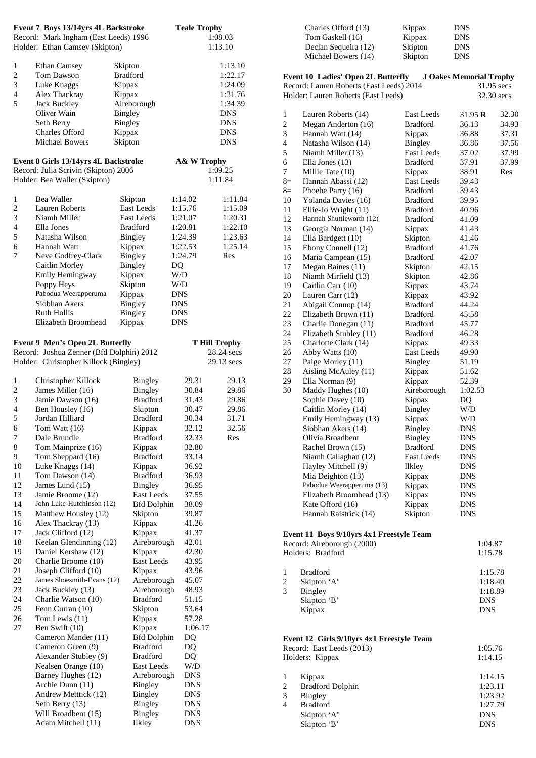|                                                                                                                                                                                          | Event 7 Boys 13/14yrs 4L Backstroke<br>Record: Mark Ingham (East Leeds) 1996<br>Holder: Ethan Camsey (Skipton)                                                                                                                                                                                                                                                                                                                                                                                                                                                                                                                                                                                                                                                                                                                      |                                                                                                                                                                                                                                                                                                                                                                                                                                                                                                                                                                    | <b>Teale Trophy</b>                                                                                                                                                                                                                                                                                                                                            | 1:08.03<br>1:13.10                                                                            |
|------------------------------------------------------------------------------------------------------------------------------------------------------------------------------------------|-------------------------------------------------------------------------------------------------------------------------------------------------------------------------------------------------------------------------------------------------------------------------------------------------------------------------------------------------------------------------------------------------------------------------------------------------------------------------------------------------------------------------------------------------------------------------------------------------------------------------------------------------------------------------------------------------------------------------------------------------------------------------------------------------------------------------------------|--------------------------------------------------------------------------------------------------------------------------------------------------------------------------------------------------------------------------------------------------------------------------------------------------------------------------------------------------------------------------------------------------------------------------------------------------------------------------------------------------------------------------------------------------------------------|----------------------------------------------------------------------------------------------------------------------------------------------------------------------------------------------------------------------------------------------------------------------------------------------------------------------------------------------------------------|-----------------------------------------------------------------------------------------------|
| 1<br>$\overline{c}$<br>3<br>4<br>5                                                                                                                                                       | <b>Ethan Camsey</b><br><b>Tom Dawson</b><br>Luke Knaggs<br>Alex Thackray<br><b>Jack Buckley</b><br>Oliver Wain<br>Seth Berry<br>Charles Offord<br><b>Michael Bowers</b>                                                                                                                                                                                                                                                                                                                                                                                                                                                                                                                                                                                                                                                             | Skipton<br><b>Bradford</b><br>Kippax<br>Kippax<br>Aireborough<br>Bingley<br>Bingley<br>Kippax<br>Skipton                                                                                                                                                                                                                                                                                                                                                                                                                                                           |                                                                                                                                                                                                                                                                                                                                                                | 1:13.10<br>1:22.17<br>1:24.09<br>1:31.76<br>1:34.39<br><b>DNS</b><br>DNS<br>DNS<br><b>DNS</b> |
|                                                                                                                                                                                          | Event 8 Girls 13/14yrs 4L Backstroke<br>Record: Julia Scrivin (Skipton) 2006<br>Holder: Bea Waller (Skipton)                                                                                                                                                                                                                                                                                                                                                                                                                                                                                                                                                                                                                                                                                                                        |                                                                                                                                                                                                                                                                                                                                                                                                                                                                                                                                                                    | A& W Trophy                                                                                                                                                                                                                                                                                                                                                    | 1:09.25<br>1:11.84                                                                            |
| 1<br>$\overline{c}$<br>3<br>$\overline{\mathcal{L}}$<br>5<br>6<br>7                                                                                                                      | Bea Waller<br>Lauren Roberts<br>Niamh Miller<br>Ella Jones<br>Natasha Wilson<br>Hannah Watt<br>Neve Godfrey-Clark<br>Caitlin Morley<br>Emily Hemingway<br>Poppy Heys<br>Pabodua Weerapperuma<br>Siobhan Akers<br><b>Ruth Hollis</b><br>Elizabeth Broomhead                                                                                                                                                                                                                                                                                                                                                                                                                                                                                                                                                                          | Skipton<br><b>East Leeds</b><br><b>East Leeds</b><br><b>Bradford</b><br><b>Bingley</b><br>Kippax<br>Bingley<br>Bingley<br>Kippax<br>Skipton<br>Kippax<br>Bingley<br>Bingley<br>Kippax                                                                                                                                                                                                                                                                                                                                                                              | 1:14.02<br>1:15.76<br>1:21.07<br>1:20.81<br>1:24.39<br>1:22.53<br>1:24.79<br>DQ<br>W/D<br>W/D<br><b>DNS</b><br><b>DNS</b><br><b>DNS</b><br><b>DNS</b>                                                                                                                                                                                                          | 1:11.84<br>1:15.09<br>1:20.31<br>1:22.10<br>1:23.63<br>1:25.14<br>Res                         |
|                                                                                                                                                                                          | <b>Event 9 Men's Open 2L Butterfly</b><br>Record: Joshua Zenner (Bfd Dolphin) 2012<br>Holder: Christopher Killock (Bingley)                                                                                                                                                                                                                                                                                                                                                                                                                                                                                                                                                                                                                                                                                                         |                                                                                                                                                                                                                                                                                                                                                                                                                                                                                                                                                                    |                                                                                                                                                                                                                                                                                                                                                                | <b>T Hill Trophy</b><br>28.24 secs<br>29.13 secs                                              |
| 1<br>$\overline{\mathbf{c}}$<br>3<br>$\overline{4}$<br>5<br>6<br>7<br>8<br>9<br>10<br>11<br>12<br>13<br>14<br>15<br>16<br>17<br>18<br>19<br>20<br>21<br>22<br>23<br>24<br>25<br>26<br>27 | Christopher Killock<br>James Miller (16)<br>Jamie Dawson (16)<br>Ben Housley (16)<br>Jordan Hilliard<br>Tom Watt $(16)$<br>Dale Brundle<br>Tom Mainprize (16)<br>Tom Sheppard (16)<br>Luke Knaggs (14)<br>Tom Dawson (14)<br>James Lund (15)<br>Jamie Broome (12)<br>John Luke-Hutchinson (12)<br>Matthew Housley (12)<br>Alex Thackray (13)<br>Jack Clifford (12)<br>Keelan Glendinning (12)<br>Daniel Kershaw (12)<br>Charlie Broome (10)<br>Joseph Clifford (10)<br>James Shoesmith-Evans (12)<br>Jack Buckley (13)<br>Charlie Watson (10)<br>Fenn Curran (10)<br>Tom Lewis (11)<br>Ben Swift (10)<br>Cameron Mander (11)<br>Cameron Green (9)<br>Alexander Stubley (9)<br>Nealsen Orange (10)<br>Barney Hughes (12)<br>Archie Dunn (11)<br>Andrew Metttick (12)<br>Seth Berry (13)<br>Will Broadbent (15)<br>Adam Mitchell (11) | <b>Bingley</b><br><b>Bingley</b><br><b>Bradford</b><br>Skipton<br><b>Bradford</b><br>Kippax<br><b>Bradford</b><br>Kippax<br><b>Bradford</b><br>Kippax<br><b>Bradford</b><br>Bingley<br><b>East Leeds</b><br><b>Bfd Dolphin</b><br>Skipton<br>Kippax<br>Kippax<br>Aireborough<br>Kippax<br>East Leeds<br>Kippax<br>Aireborough<br>Aireborough<br><b>Bradford</b><br>Skipton<br>Kippax<br>Kippax<br><b>Bfd Dolphin</b><br><b>Bradford</b><br><b>Bradford</b><br>East Leeds<br>Aireborough<br><b>Bingley</b><br>Bingley<br><b>Bingley</b><br>Bingley<br><b>Ilkley</b> | 29.31<br>30.84<br>31.43<br>30.47<br>30.34<br>32.12<br>32.33<br>32.80<br>33.14<br>36.92<br>36.93<br>36.95<br>37.55<br>38.09<br>39.87<br>41.26<br>41.37<br>42.01<br>42.30<br>43.95<br>43.96<br>45.07<br>48.93<br>51.15<br>53.64<br>57.28<br>1:06.17<br>DQ<br>DQ<br>DQ<br>W/D<br><b>DNS</b><br><b>DNS</b><br><b>DNS</b><br><b>DNS</b><br><b>DNS</b><br><b>DNS</b> | 29.13<br>29.86<br>29.86<br>29.86<br>31.71<br>32.56<br>Res                                     |

|                                                                                                                                                                                                 | Charles Offord (13)<br>Tom Gaskell (16)<br>Declan Sequeira (12)<br>Michael Bowers (14)                                                                                                                                                                                                                                                                                                                                                                                                                                                                                                                                                                                                                                                                                                                                                                                                                                                                                       | Kippax<br>Kippax<br>Skipton<br>Skipton                                                                                                                                                                                                                                                                                                                                                                                                                                                                                                                                                                                           | DNS<br>DNS<br>DNS<br><b>DNS</b>                                                                                                                                                                                                                                                                                                                                                                                           |                                                           |
|-------------------------------------------------------------------------------------------------------------------------------------------------------------------------------------------------|------------------------------------------------------------------------------------------------------------------------------------------------------------------------------------------------------------------------------------------------------------------------------------------------------------------------------------------------------------------------------------------------------------------------------------------------------------------------------------------------------------------------------------------------------------------------------------------------------------------------------------------------------------------------------------------------------------------------------------------------------------------------------------------------------------------------------------------------------------------------------------------------------------------------------------------------------------------------------|----------------------------------------------------------------------------------------------------------------------------------------------------------------------------------------------------------------------------------------------------------------------------------------------------------------------------------------------------------------------------------------------------------------------------------------------------------------------------------------------------------------------------------------------------------------------------------------------------------------------------------|---------------------------------------------------------------------------------------------------------------------------------------------------------------------------------------------------------------------------------------------------------------------------------------------------------------------------------------------------------------------------------------------------------------------------|-----------------------------------------------------------|
|                                                                                                                                                                                                 | <b>Event 10 Ladies' Open 2L Butterfly</b><br>Record: Lauren Roberts (East Leeds) 2014<br>Holder: Lauren Roberts (East Leeds)                                                                                                                                                                                                                                                                                                                                                                                                                                                                                                                                                                                                                                                                                                                                                                                                                                                 |                                                                                                                                                                                                                                                                                                                                                                                                                                                                                                                                                                                                                                  | <b>J Oakes Memorial Trophy</b>                                                                                                                                                                                                                                                                                                                                                                                            | 31.95 secs<br>32.30 secs                                  |
| 1<br>$\overline{\mathbf{c}}$<br>3<br>4<br>5<br>6<br>7<br>8=<br>8=<br>10<br>11<br>12<br>13<br>14<br>15<br>16<br>17<br>18<br>19<br>20<br>21<br>22<br>23<br>24<br>25<br>26<br>27<br>28<br>29<br>30 | Lauren Roberts (14)<br>Megan Anderton (16)<br>Hannah Watt (14)<br>Natasha Wilson (14)<br>Niamh Miller (13)<br>Ella Jones $(13)$<br>Millie Tate (10)<br>Hannah Abassi (12)<br>Phoebe Parry (16)<br>Yolanda Davies (16)<br>Ellie-Jo Wright (11)<br>Hannah Shuttleworth (12)<br>Georgia Norman (14)<br>Ella Bardgett (10)<br>Ebony Connell (12)<br>Maria Campean (15)<br>Megan Baines (11)<br>Niamh Mirfield (13)<br>Caitlin Carr (10)<br>Lauren Carr (12)<br>Abigail Connop (14)<br>Elizabeth Brown (11)<br>Charlie Donegan (11)<br>Elizabeth Stubley (11)<br>Charlotte Clark (14)<br>Abby Watts (10)<br>Paige Morley (11)<br>Aisling McAuley (11)<br>Ella Norman (9)<br>Maddy Hughes (10)<br>Sophie Davey (10)<br>Caitlin Morley (14)<br>Emily Hemingway (13)<br>Siobhan Akers (14)<br>Olivia Broadbent<br>Rachel Brown (15)<br>Niamh Callaghan (12)<br>Hayley Mitchell (9)<br>Mia Deighton (13)<br>Pabodua Weerapperuma (13)<br>Elizabeth Broomhead (13)<br>Kate Offord (16) | East Leeds<br><b>Bradford</b><br>Kippax<br><b>Bingley</b><br><b>East Leeds</b><br><b>Bradford</b><br>Kippax<br><b>East Leeds</b><br><b>Bradford</b><br><b>Bradford</b><br><b>Bradford</b><br><b>Bradford</b><br>Kippax<br>Skipton<br><b>Bradford</b><br><b>Bradford</b><br>Skipton<br>Skipton<br>Kippax<br>Kippax<br><b>Bradford</b><br><b>Bradford</b><br><b>Bradford</b><br><b>Bradford</b><br>Kippax<br>East Leeds<br><b>Bingley</b><br>Kippax<br>Kippax<br>Aireborough<br>Kippax<br><b>Bingley</b><br>Kippax<br><b>Bingley</b><br>Bingley<br><b>Bradford</b><br>East Leeds<br>Ilkley<br>Kippax<br>Kippax<br>Kippax<br>Kippax | 31.95 <b>R</b><br>36.13<br>36.88<br>36.86<br>37.02<br>37.91<br>38.91<br>39.43<br>39.43<br>39.95<br>40.96<br>41.09<br>41.43<br>41.46<br>41.76<br>42.07<br>42.15<br>42.86<br>43.74<br>43.92<br>44.24<br>45.58<br>45.77<br>46.28<br>49.33<br>49.90<br>51.19<br>51.62<br>52.39<br>1:02.53<br>DQ<br>W/D<br>W/D<br><b>DNS</b><br><b>DNS</b><br><b>DNS</b><br><b>DNS</b><br><b>DNS</b><br><b>DNS</b><br><b>DNS</b><br><b>DNS</b> | 32.30<br>34.93<br>37.31<br>37.56<br>37.99<br>37.99<br>Res |
|                                                                                                                                                                                                 | Hannah Raistrick (14)<br>Event 11 Boys 9/10yrs 4x1 Freestyle Team<br>Record: Aireborough (2000)<br>Holders: Bradford                                                                                                                                                                                                                                                                                                                                                                                                                                                                                                                                                                                                                                                                                                                                                                                                                                                         | Skipton                                                                                                                                                                                                                                                                                                                                                                                                                                                                                                                                                                                                                          | <b>DNS</b><br>1:04.87<br>1:15.78                                                                                                                                                                                                                                                                                                                                                                                          |                                                           |
| 1<br>2<br>3                                                                                                                                                                                     | <b>Bradford</b><br>Skipton 'A'<br><b>Bingley</b><br>Skipton 'B'<br>Kippax                                                                                                                                                                                                                                                                                                                                                                                                                                                                                                                                                                                                                                                                                                                                                                                                                                                                                                    |                                                                                                                                                                                                                                                                                                                                                                                                                                                                                                                                                                                                                                  | 1:15.78<br>1:18.40<br>1:18.89<br><b>DNS</b><br><b>DNS</b>                                                                                                                                                                                                                                                                                                                                                                 |                                                           |
|                                                                                                                                                                                                 | Event 12 Girls 9/10yrs 4x1 Freestyle Team<br>Record: East Leeds (2013)<br>Holders: Kippax                                                                                                                                                                                                                                                                                                                                                                                                                                                                                                                                                                                                                                                                                                                                                                                                                                                                                    |                                                                                                                                                                                                                                                                                                                                                                                                                                                                                                                                                                                                                                  | 1:05.76<br>1:14.15                                                                                                                                                                                                                                                                                                                                                                                                        |                                                           |
| 1<br>2<br>3<br>4                                                                                                                                                                                | Kippax<br><b>Bradford Dolphin</b><br><b>Bingley</b><br><b>Bradford</b><br>Skipton 'A'<br>Skipton 'B'                                                                                                                                                                                                                                                                                                                                                                                                                                                                                                                                                                                                                                                                                                                                                                                                                                                                         |                                                                                                                                                                                                                                                                                                                                                                                                                                                                                                                                                                                                                                  | 1:14.15<br>1:23.11<br>1:23.92<br>1:27.79<br><b>DNS</b><br><b>DNS</b>                                                                                                                                                                                                                                                                                                                                                      |                                                           |